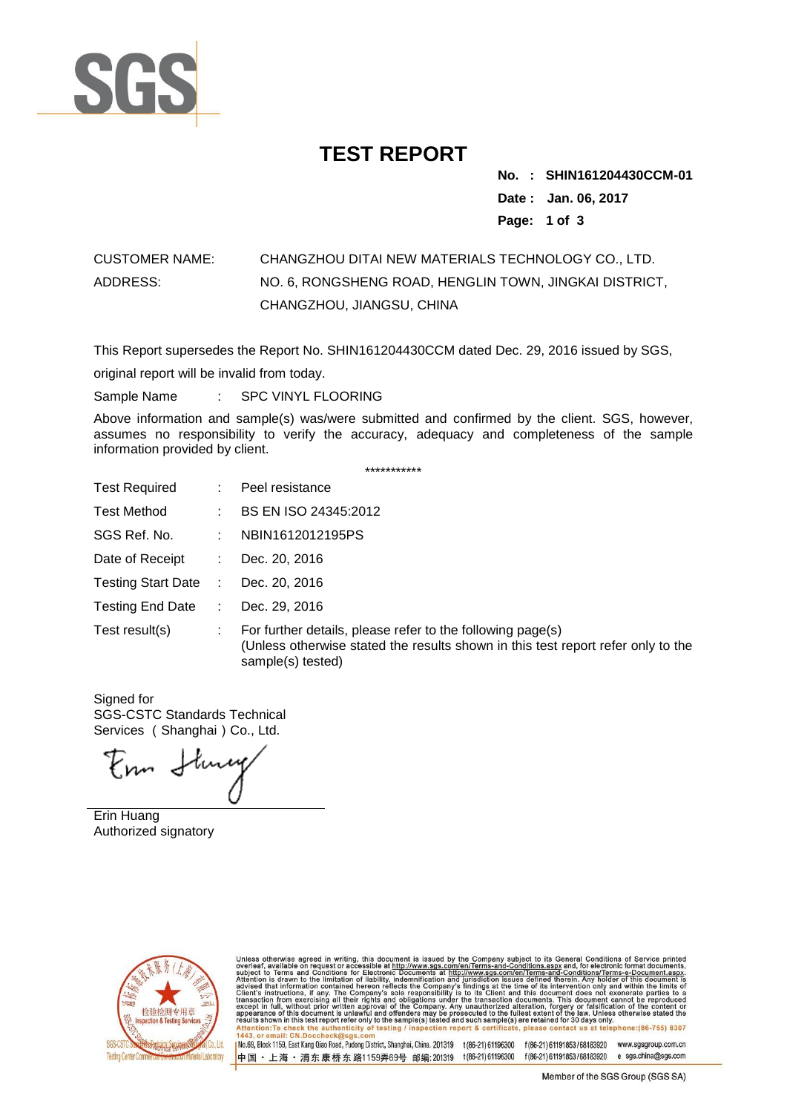

## **TEST REPORT**

**No. : .SHIN161204430CCM-01 Date : Jan. 06, 2017 Page: 1 of 3**

## CUSTOMER NAME: CHANGZHOU DITAI NEW MATERIALS TECHNOLOGY CO., LTD. ADDRESS: NO. 6, RONGSHENG ROAD, HENGLIN TOWN, JINGKAI DISTRICT, CHANGZHOU, JIANGSU, CHINA

This Report supersedes the Report No. SHIN161204430CCM dated Dec. 29, 2016 issued by SGS,

original report will be invalid from today.

Sample Name : SPC VINYL FLOORING

Above information and sample(s) was/were submitted and confirmed by the client. SGS, however, assumes no responsibility to verify the accuracy, adequacy and completeness of the sample information provided by client.

| ***********             |               |                                                                                                                                                                     |  |  |
|-------------------------|---------------|---------------------------------------------------------------------------------------------------------------------------------------------------------------------|--|--|
| <b>Test Required</b>    | ÷.            | Peel resistance                                                                                                                                                     |  |  |
| Test Method             |               | BS EN ISO 24345:2012                                                                                                                                                |  |  |
| SGS Ref. No.            | ÷.            | NBIN1612012195PS                                                                                                                                                    |  |  |
| Date of Receipt         | ÷.            | Dec. 20, 2016                                                                                                                                                       |  |  |
| Testing Start Date :    |               | Dec. 20, 2016                                                                                                                                                       |  |  |
| <b>Testing End Date</b> | $\mathcal{L}$ | Dec. 29, 2016                                                                                                                                                       |  |  |
| Test result(s)          | ÷.            | For further details, please refer to the following page(s)<br>(Unless otherwise stated the results shown in this test report refer only to the<br>sample(s) tested) |  |  |

Signed for SGS-CSTC Standards Technical Services (Shanghai)Co., Ltd.

Enn Stury

Erin Huang Authorized signatory



Unless otherwise agreed in writing, this document is issued by the Company subject to its General Conditions of Service printed overleaf, available on request or accessible at http://www.sgs.com/en/Terms-and-Conditions.as

1No.69, Block 1159, East Kang Qiao Road, Pudong District, Shanghai, China. 201319 t(86-21) 61196300 f(86-21) 61191853/68183920 www.sgsgroup.com.cn 中国·上海·浦东康桥东路1159弄69号 邮编:201319 t(86-21)61196300 f(86-21)61191853/68183920 e sgs.china@sgs.com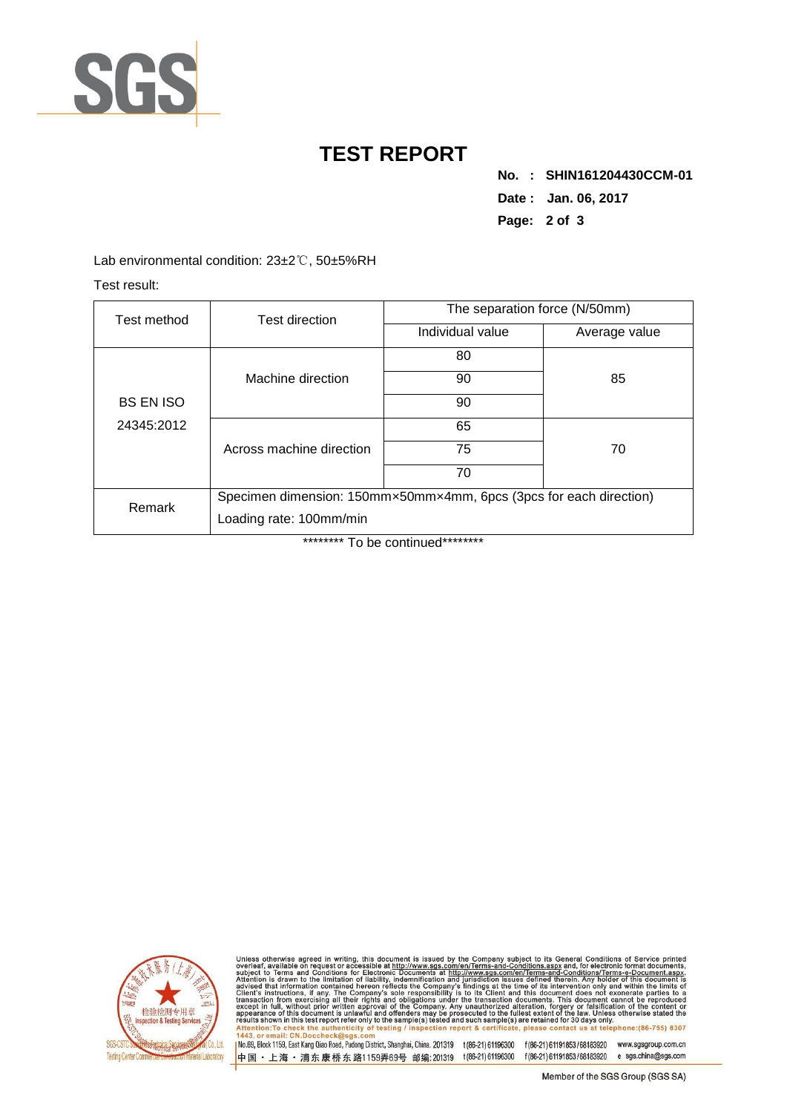

## **TEST REPORT**

**No. : .SHIN161204430CCM-01 Date : Jan. 06, 2017 Page: 2 of 3**

Lab environmental condition: 23±2℃, 50±5%RH

Test result:

| Test method                    | Test direction                                                     | The separation force (N/50mm) |               |  |  |
|--------------------------------|--------------------------------------------------------------------|-------------------------------|---------------|--|--|
|                                |                                                                    | Individual value              | Average value |  |  |
|                                |                                                                    | 80                            |               |  |  |
|                                | Machine direction                                                  | 90                            | 85            |  |  |
| <b>BS EN ISO</b><br>24345:2012 |                                                                    | 90                            |               |  |  |
|                                |                                                                    | 65                            |               |  |  |
|                                | Across machine direction                                           | 75                            | 70            |  |  |
|                                |                                                                    | 70                            |               |  |  |
| Remark                         | Specimen dimension: 150mm×50mm×4mm, 6pcs (3pcs for each direction) |                               |               |  |  |
|                                | Loading rate: 100mm/min                                            |                               |               |  |  |

\*\*\*\*\*\*\*\*\* To be continued\*\*\*\*\*\*\*\*\*



Unless otherwise agreed in writing, this document is issued by the Company subject to its General Conditions of Service printed overleaf, available on request or accessible at http://www.sgs.com/en/Terms-and-Conditions.as

INc.69, Block 1159, East Kang Qiao Road, Pudong District, Shanghai, China. 201319 t(86-21)61196300 f(86-21)61191853/68183920 www.sgsgroup.com.cn 中国 · 上海 · 浦东康桥东路1159弄69号 邮编:201319 t(86-21)61196300 f(86-21)61191853/68183920 e sgs.china@sgs.com